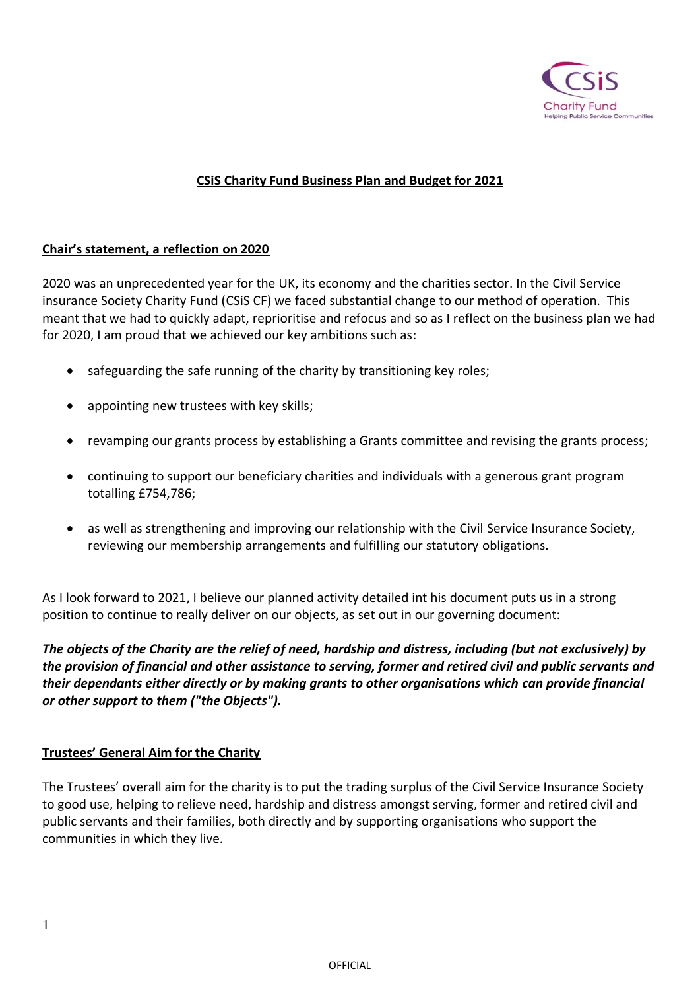

# **CSiS Charity Fund Business Plan and Budget for 2021**

## **Chair's statement, a reflection on 2020**

2020 was an unprecedented year for the UK, its economy and the charities sector. In the Civil Service insurance Society Charity Fund (CSiS CF) we faced substantial change to our method of operation. This meant that we had to quickly adapt, reprioritise and refocus and so as I reflect on the business plan we had for 2020, I am proud that we achieved our key ambitions such as:

- safeguarding the safe running of the charity by transitioning key roles;
- appointing new trustees with key skills;
- revamping our grants process by establishing a Grants committee and revising the grants process;
- continuing to support our beneficiary charities and individuals with a generous grant program totalling £754,786;
- as well as strengthening and improving our relationship with the Civil Service Insurance Society, reviewing our membership arrangements and fulfilling our statutory obligations.

As I look forward to 2021, I believe our planned activity detailed int his document puts us in a strong position to continue to really deliver on our objects, as set out in our governing document:

*The objects of the Charity are the relief of need, hardship and distress, including (but not exclusively) by the provision of financial and other assistance to serving, former and retired civil and public servants and their dependants either directly or by making grants to other organisations which can provide financial or other support to them ("the Objects").*

### **Trustees' General Aim for the Charity**

The Trustees' overall aim for the charity is to put the trading surplus of the Civil Service Insurance Society to good use, helping to relieve need, hardship and distress amongst serving, former and retired civil and public servants and their families, both directly and by supporting organisations who support the communities in which they live.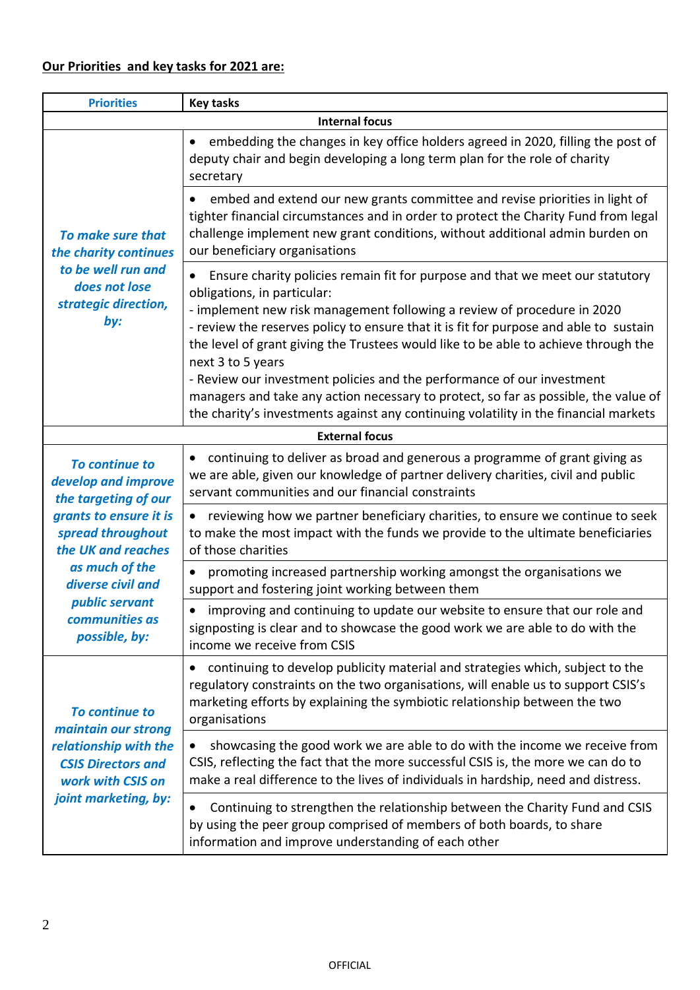| <b>Priorities</b>                                                                                                                                                                                                                     | <b>Key tasks</b>                                                                                                                                                                                                                                                                                                                                                                                                                                                                                                                                                                                                                                      |  |
|---------------------------------------------------------------------------------------------------------------------------------------------------------------------------------------------------------------------------------------|-------------------------------------------------------------------------------------------------------------------------------------------------------------------------------------------------------------------------------------------------------------------------------------------------------------------------------------------------------------------------------------------------------------------------------------------------------------------------------------------------------------------------------------------------------------------------------------------------------------------------------------------------------|--|
| <b>Internal focus</b>                                                                                                                                                                                                                 |                                                                                                                                                                                                                                                                                                                                                                                                                                                                                                                                                                                                                                                       |  |
| To make sure that<br>the charity continues<br>to be well run and<br>does not lose<br>strategic direction,<br>by:                                                                                                                      | embedding the changes in key office holders agreed in 2020, filling the post of<br>deputy chair and begin developing a long term plan for the role of charity<br>secretary                                                                                                                                                                                                                                                                                                                                                                                                                                                                            |  |
|                                                                                                                                                                                                                                       | embed and extend our new grants committee and revise priorities in light of<br>tighter financial circumstances and in order to protect the Charity Fund from legal<br>challenge implement new grant conditions, without additional admin burden on<br>our beneficiary organisations                                                                                                                                                                                                                                                                                                                                                                   |  |
|                                                                                                                                                                                                                                       | Ensure charity policies remain fit for purpose and that we meet our statutory<br>obligations, in particular:<br>- implement new risk management following a review of procedure in 2020<br>- review the reserves policy to ensure that it is fit for purpose and able to sustain<br>the level of grant giving the Trustees would like to be able to achieve through the<br>next 3 to 5 years<br>- Review our investment policies and the performance of our investment<br>managers and take any action necessary to protect, so far as possible, the value of<br>the charity's investments against any continuing volatility in the financial markets |  |
| <b>External focus</b>                                                                                                                                                                                                                 |                                                                                                                                                                                                                                                                                                                                                                                                                                                                                                                                                                                                                                                       |  |
| <b>To continue to</b><br>develop and improve<br>the targeting of our<br>grants to ensure it is<br>spread throughout<br>the UK and reaches<br>as much of the<br>diverse civil and<br>public servant<br>communities as<br>possible, by: | continuing to deliver as broad and generous a programme of grant giving as<br>we are able, given our knowledge of partner delivery charities, civil and public<br>servant communities and our financial constraints                                                                                                                                                                                                                                                                                                                                                                                                                                   |  |
|                                                                                                                                                                                                                                       | reviewing how we partner beneficiary charities, to ensure we continue to seek<br>to make the most impact with the funds we provide to the ultimate beneficiaries<br>of those charities                                                                                                                                                                                                                                                                                                                                                                                                                                                                |  |
|                                                                                                                                                                                                                                       | promoting increased partnership working amongst the organisations we<br>$\bullet$<br>support and fostering joint working between them                                                                                                                                                                                                                                                                                                                                                                                                                                                                                                                 |  |
|                                                                                                                                                                                                                                       | improving and continuing to update our website to ensure that our role and<br>signposting is clear and to showcase the good work we are able to do with the<br>income we receive from CSIS                                                                                                                                                                                                                                                                                                                                                                                                                                                            |  |
| <b>To continue to</b><br>maintain our strong<br>relationship with the<br><b>CSIS Directors and</b><br>work with CSIS on<br>joint marketing, by:                                                                                       | continuing to develop publicity material and strategies which, subject to the<br>$\bullet$<br>regulatory constraints on the two organisations, will enable us to support CSIS's<br>marketing efforts by explaining the symbiotic relationship between the two<br>organisations                                                                                                                                                                                                                                                                                                                                                                        |  |
|                                                                                                                                                                                                                                       | showcasing the good work we are able to do with the income we receive from<br>CSIS, reflecting the fact that the more successful CSIS is, the more we can do to<br>make a real difference to the lives of individuals in hardship, need and distress.                                                                                                                                                                                                                                                                                                                                                                                                 |  |
|                                                                                                                                                                                                                                       | Continuing to strengthen the relationship between the Charity Fund and CSIS<br>by using the peer group comprised of members of both boards, to share<br>information and improve understanding of each other                                                                                                                                                                                                                                                                                                                                                                                                                                           |  |